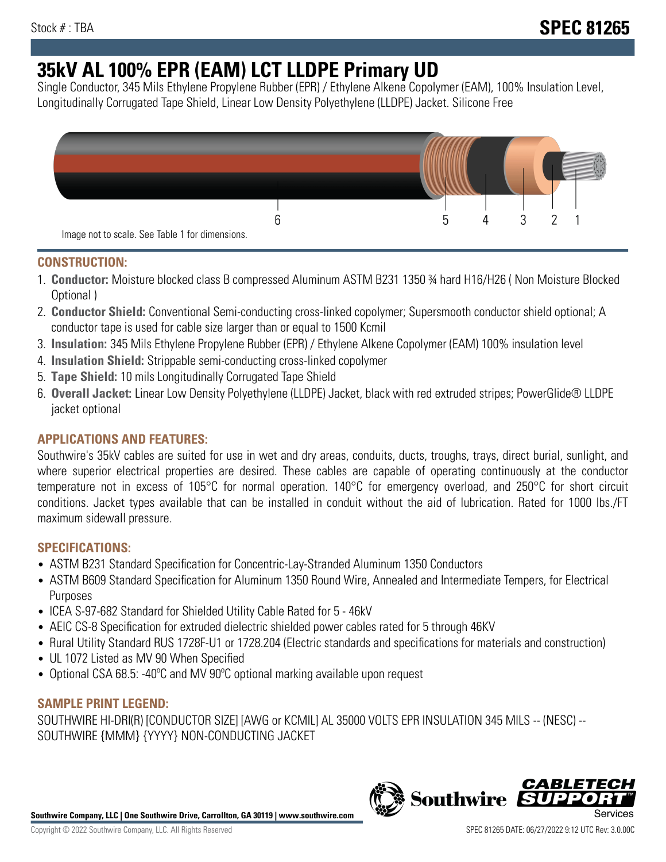# **35kV AL 100% EPR (EAM) LCT LLDPE Primary UD**

Single Conductor, 345 Mils Ethylene Propylene Rubber (EPR) / Ethylene Alkene Copolymer (EAM), 100% Insulation Level, Longitudinally Corrugated Tape Shield, Linear Low Density Polyethylene (LLDPE) Jacket. Silicone Free



## **CONSTRUCTION:**

- 1. **Conductor:** Moisture blocked class B compressed Aluminum ASTM B231 1350 ¾ hard H16/H26 ( Non Moisture Blocked Optional )
- 2. **Conductor Shield:** Conventional Semi-conducting cross-linked copolymer; Supersmooth conductor shield optional; A conductor tape is used for cable size larger than or equal to 1500 Kcmil
- 3. **Insulation:** 345 Mils Ethylene Propylene Rubber (EPR) / Ethylene Alkene Copolymer (EAM) 100% insulation level
- 4. **Insulation Shield:** Strippable semi-conducting cross-linked copolymer
- 5. **Tape Shield:** 10 mils Longitudinally Corrugated Tape Shield
- 6. **Overall Jacket:** Linear Low Density Polyethylene (LLDPE) Jacket, black with red extruded stripes; PowerGlide® LLDPE jacket optional

## **APPLICATIONS AND FEATURES:**

Southwire's 35kV cables are suited for use in wet and dry areas, conduits, ducts, troughs, trays, direct burial, sunlight, and where superior electrical properties are desired. These cables are capable of operating continuously at the conductor temperature not in excess of 105°C for normal operation. 140°C for emergency overload, and 250°C for short circuit conditions. Jacket types available that can be installed in conduit without the aid of lubrication. Rated for 1000 lbs./FT maximum sidewall pressure.

## **SPECIFICATIONS:**

- ASTM B231 Standard Specification for Concentric-Lay-Stranded Aluminum 1350 Conductors
- ASTM B609 Standard Specification for Aluminum 1350 Round Wire, Annealed and Intermediate Tempers, for Electrical Purposes
- ICEA S-97-682 Standard for Shielded Utility Cable Rated for 5 46kV
- AEIC CS-8 Specification for extruded dielectric shielded power cables rated for 5 through 46KV
- Rural Utility Standard RUS 1728F-U1 or 1728.204 (Electric standards and specifications for materials and construction)
- UL 1072 Listed as MV 90 When Specified
- Optional CSA 68.5: -40ºC and MV 90ºC optional marking available upon request

### **SAMPLE PRINT LEGEND:**

SOUTHWIRE HI-DRI(R) [CONDUCTOR SIZE] [AWG or KCMIL] AL 35000 VOLTS EPR INSULATION 345 MILS -- (NESC) -- SOUTHWIRE {MMM} {YYYY} NON-CONDUCTING JACKET



CABLE1